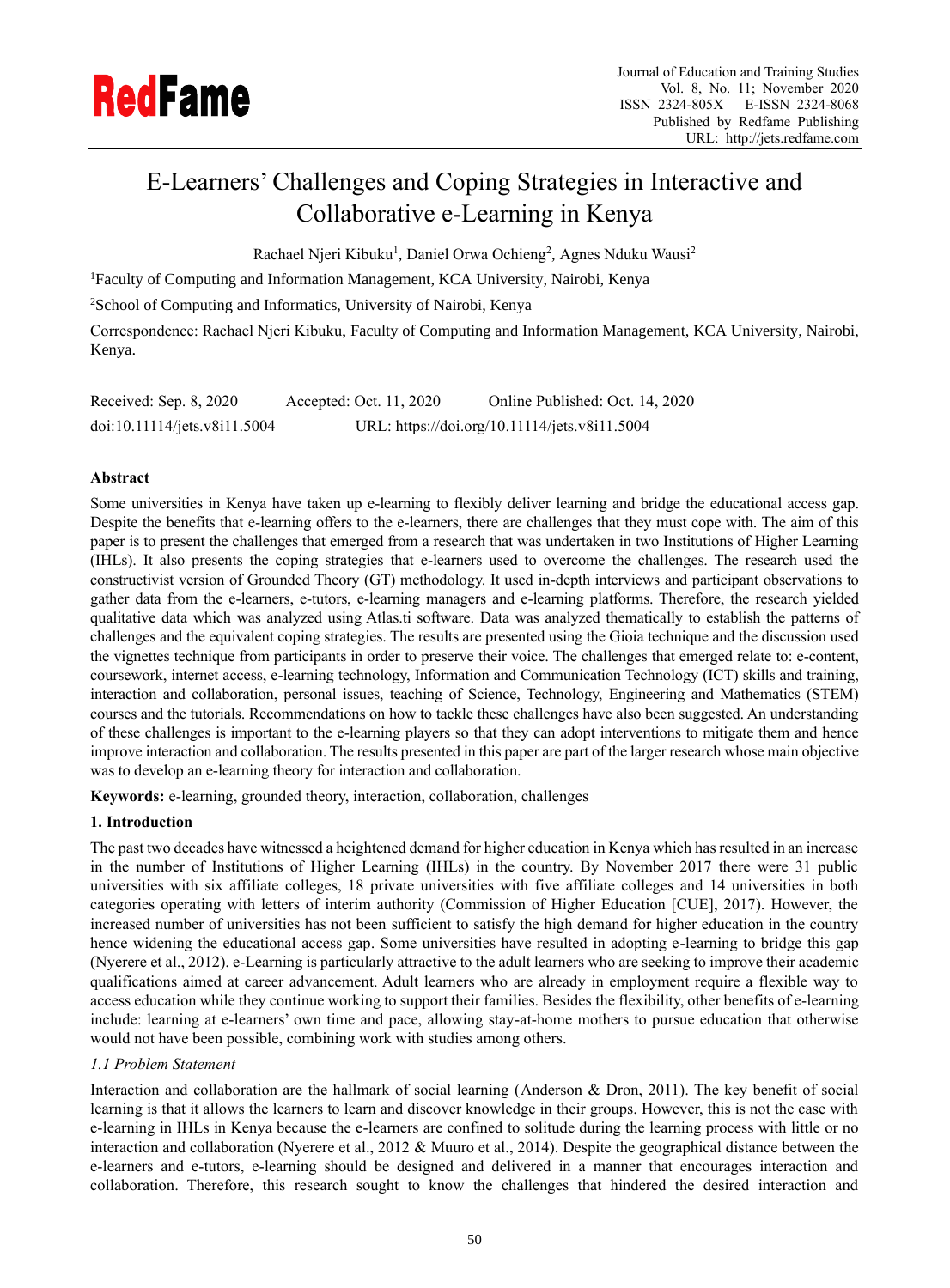# E-Learners' Challenges and Coping Strategies in Interactive and Collaborative e-Learning in Kenya

Rachael Njeri Kibuku<sup>1</sup>, Daniel Orwa Ochieng<sup>2</sup>, Agnes Nduku Wausi<sup>2</sup>

<sup>1</sup>Faculty of Computing and Information Management, KCA University, Nairobi, Kenya

<sup>2</sup>School of Computing and Informatics, University of Nairobi, Kenya

Correspondence: Rachael Njeri Kibuku, Faculty of Computing and Information Management, KCA University, Nairobi, Kenya.

| Received: Sep. 8, 2020       | Accepted: Oct. 11, 2020 | Online Published: Oct. 14, 2020               |
|------------------------------|-------------------------|-----------------------------------------------|
| doi:10.11114/jets.v8i11.5004 |                         | URL: https://doi.org/10.11114/jets.v8i11.5004 |

# **Abstract**

Some universities in Kenya have taken up e-learning to flexibly deliver learning and bridge the educational access gap. Despite the benefits that e-learning offers to the e-learners, there are challenges that they must cope with. The aim of this paper is to present the challenges that emerged from a research that was undertaken in two Institutions of Higher Learning (IHLs). It also presents the coping strategies that e-learners used to overcome the challenges. The research used the constructivist version of Grounded Theory (GT) methodology. It used in-depth interviews and participant observations to gather data from the e-learners, e-tutors, e-learning managers and e-learning platforms. Therefore, the research yielded qualitative data which was analyzed using Atlas.ti software. Data was analyzed thematically to establish the patterns of challenges and the equivalent coping strategies. The results are presented using the Gioia technique and the discussion used the vignettes technique from participants in order to preserve their voice. The challenges that emerged relate to: e-content, coursework, internet access, e-learning technology, Information and Communication Technology (ICT) skills and training, interaction and collaboration, personal issues, teaching of Science, Technology, Engineering and Mathematics (STEM) courses and the tutorials. Recommendations on how to tackle these challenges have also been suggested. An understanding of these challenges is important to the e-learning players so that they can adopt interventions to mitigate them and hence improve interaction and collaboration. The results presented in this paper are part of the larger research whose main objective was to develop an e-learning theory for interaction and collaboration.

**Keywords:** e-learning, grounded theory, interaction, collaboration, challenges

# **1. Introduction**

The past two decades have witnessed a heightened demand for higher education in Kenya which has resulted in an increase in the number of Institutions of Higher Learning (IHLs) in the country. By November 2017 there were 31 public universities with six affiliate colleges, 18 private universities with five affiliate colleges and 14 universities in both categories operating with letters of interim authority (Commission of Higher Education [CUE], 2017). However, the increased number of universities has not been sufficient to satisfy the high demand for higher education in the country hence widening the educational access gap. Some universities have resulted in adopting e-learning to bridge this gap (Nyerere et al., 2012). e-Learning is particularly attractive to the adult learners who are seeking to improve their academic qualifications aimed at career advancement. Adult learners who are already in employment require a flexible way to access education while they continue working to support their families. Besides the flexibility, other benefits of e-learning include: learning at e-learners' own time and pace, allowing stay-at-home mothers to pursue education that otherwise would not have been possible, combining work with studies among others.

# *1.1 Problem Statement*

Interaction and collaboration are the hallmark of social learning (Anderson & Dron, 2011). The key benefit of social learning is that it allows the learners to learn and discover knowledge in their groups. However, this is not the case with e-learning in IHLs in Kenya because the e-learners are confined to solitude during the learning process with little or no interaction and collaboration (Nyerere et al., 2012 & Muuro et al., 2014). Despite the geographical distance between the e-learners and e-tutors, e-learning should be designed and delivered in a manner that encourages interaction and collaboration. Therefore, this research sought to know the challenges that hindered the desired interaction and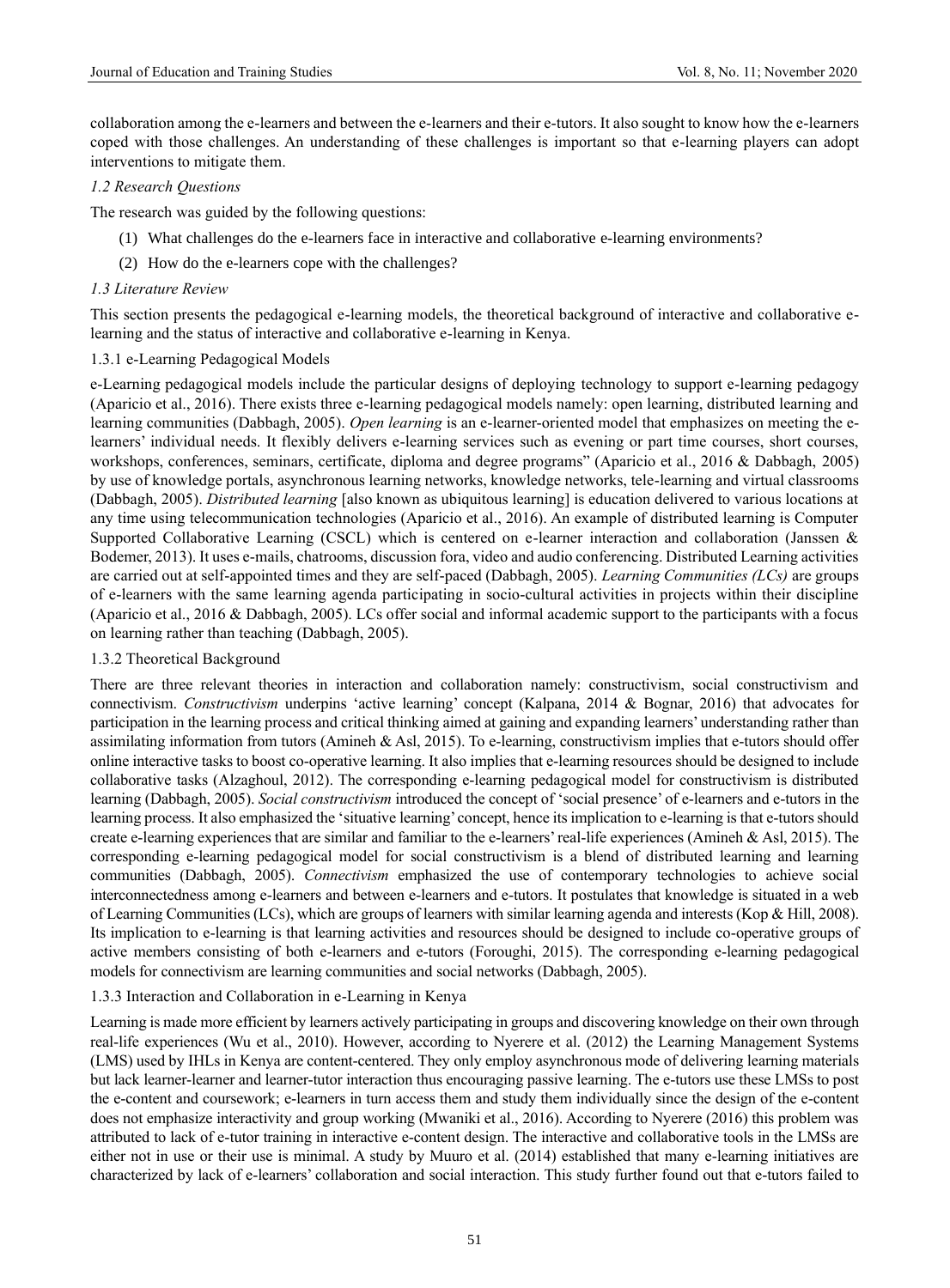collaboration among the e-learners and between the e-learners and their e-tutors. It also sought to know how the e-learners coped with those challenges. An understanding of these challenges is important so that e-learning players can adopt interventions to mitigate them.

## *1.2 Research Questions*

The research was guided by the following questions:

- (1) What challenges do the e-learners face in interactive and collaborative e-learning environments?
- (2) How do the e-learners cope with the challenges?

#### *1.3 Literature Review*

This section presents the pedagogical e-learning models, the theoretical background of interactive and collaborative elearning and the status of interactive and collaborative e-learning in Kenya.

#### 1.3.1 e-Learning Pedagogical Models

e-Learning pedagogical models include the particular designs of deploying technology to support e-learning pedagogy (Aparicio et al., 2016). There exists three e-learning pedagogical models namely: open learning, distributed learning and learning communities (Dabbagh, 2005). *Open learning* is an e-learner-oriented model that emphasizes on meeting the elearners' individual needs. It flexibly delivers e-learning services such as evening or part time courses, short courses, workshops, conferences, seminars, certificate, diploma and degree programs" (Aparicio et al., 2016 & Dabbagh, 2005) by use of knowledge portals, asynchronous learning networks, knowledge networks, tele-learning and virtual classrooms (Dabbagh, 2005). *Distributed learning* [also known as ubiquitous learning] is education delivered to various locations at any time using telecommunication technologies (Aparicio et al., 2016). An example of distributed learning is Computer Supported Collaborative Learning (CSCL) which is centered on e-learner interaction and collaboration (Janssen & Bodemer, 2013). It uses e-mails, chatrooms, discussion fora, video and audio conferencing. Distributed Learning activities are carried out at self-appointed times and they are self-paced (Dabbagh, 2005). *Learning Communities (LCs)* are groups of e-learners with the same learning agenda participating in socio-cultural activities in projects within their discipline (Aparicio et al., 2016 & Dabbagh, 2005). LCs offer social and informal academic support to the participants with a focus on learning rather than teaching (Dabbagh, 2005).

## 1.3.2 Theoretical Background

There are three relevant theories in interaction and collaboration namely: constructivism, social constructivism and connectivism. *Constructivism* underpins 'active learning' concept (Kalpana, 2014 & Bognar, 2016) that advocates for participation in the learning process and critical thinking aimed at gaining and expanding learners' understanding rather than assimilating information from tutors (Amineh & Asl, 2015). To e-learning, constructivism implies that e-tutors should offer online interactive tasks to boost co-operative learning. It also implies that e-learning resources should be designed to include collaborative tasks (Alzaghoul, 2012). The corresponding e-learning pedagogical model for constructivism is distributed learning (Dabbagh, 2005). *Social constructivism* introduced the concept of 'social presence' of e-learners and e-tutors in the learning process. It also emphasized the 'situative learning' concept, hence its implication to e-learning is that e-tutors should create e-learning experiences that are similar and familiar to the e-learners' real-life experiences (Amineh & Asl, 2015). The corresponding e-learning pedagogical model for social constructivism is a blend of distributed learning and learning communities (Dabbagh, 2005). *Connectivism* emphasized the use of contemporary technologies to achieve social interconnectedness among e-learners and between e-learners and e-tutors. It postulates that knowledge is situated in a web of Learning Communities (LCs), which are groups of learners with similar learning agenda and interests (Kop & Hill, 2008). Its implication to e-learning is that learning activities and resources should be designed to include co-operative groups of active members consisting of both e-learners and e-tutors (Foroughi, 2015). The corresponding e-learning pedagogical models for connectivism are learning communities and social networks (Dabbagh, 2005).

## 1.3.3 Interaction and Collaboration in e-Learning in Kenya

Learning is made more efficient by learners actively participating in groups and discovering knowledge on their own through real-life experiences (Wu et al., 2010). However, according to Nyerere et al. (2012) the Learning Management Systems (LMS) used by IHLs in Kenya are content-centered. They only employ asynchronous mode of delivering learning materials but lack learner-learner and learner-tutor interaction thus encouraging passive learning. The e-tutors use these LMSs to post the e-content and coursework; e-learners in turn access them and study them individually since the design of the e-content does not emphasize interactivity and group working (Mwaniki et al., 2016). According to Nyerere (2016) this problem was attributed to lack of e-tutor training in interactive e-content design. The interactive and collaborative tools in the LMSs are either not in use or their use is minimal. A study by Muuro et al. (2014) established that many e-learning initiatives are characterized by lack of e-learners' collaboration and social interaction. This study further found out that e-tutors failed to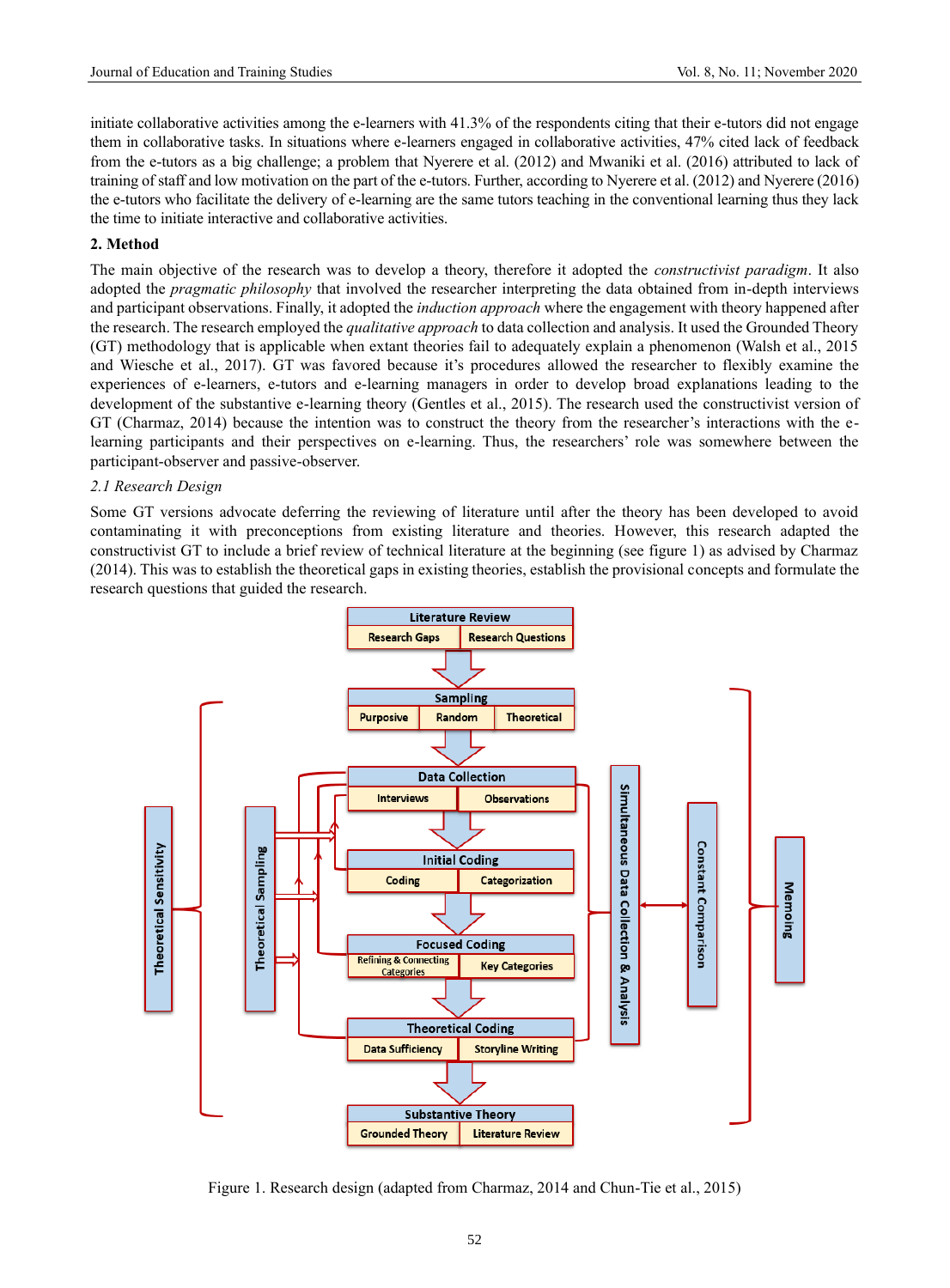initiate collaborative activities among the e-learners with 41.3% of the respondents citing that their e-tutors did not engage them in collaborative tasks. In situations where e-learners engaged in collaborative activities, 47% cited lack of feedback from the e-tutors as a big challenge; a problem that Nyerere et al. (2012) and Mwaniki et al. (2016) attributed to lack of training of staff and low motivation on the part of the e-tutors. Further, according to Nyerere et al. (2012) and Nyerere (2016) the e-tutors who facilitate the delivery of e-learning are the same tutors teaching in the conventional learning thus they lack the time to initiate interactive and collaborative activities.

#### **2. Method**

The main objective of the research was to develop a theory, therefore it adopted the *constructivist paradigm*. It also adopted the *pragmatic philosophy* that involved the researcher interpreting the data obtained from in-depth interviews and participant observations. Finally, it adopted the *induction approach* where the engagement with theory happened after the research. The research employed the *qualitative approach* to data collection and analysis. It used the Grounded Theory (GT) methodology that is applicable when extant theories fail to adequately explain a phenomenon (Walsh et al., 2015 and Wiesche et al., 2017). GT was favored because it's procedures allowed the researcher to flexibly examine the experiences of e-learners, e-tutors and e-learning managers in order to develop broad explanations leading to the development of the substantive e-learning theory (Gentles et al., 2015). The research used the constructivist version of GT (Charmaz, 2014) because the intention was to construct the theory from the researcher's interactions with the elearning participants and their perspectives on e-learning. Thus, the researchers' role was somewhere between the participant-observer and passive-observer.

#### *2.1 Research Design*

Some GT versions advocate deferring the reviewing of literature until after the theory has been developed to avoid contaminating it with preconceptions from existing literature and theories. However, this research adapted the constructivist GT to include a brief review of technical literature at the beginning (see figure 1) as advised by Charmaz (2014). This was to establish the theoretical gaps in existing theories, establish the provisional concepts and formulate the research questions that guided the research.



Figure 1. Research design (adapted from Charmaz, 2014 and Chun-Tie et al., 2015)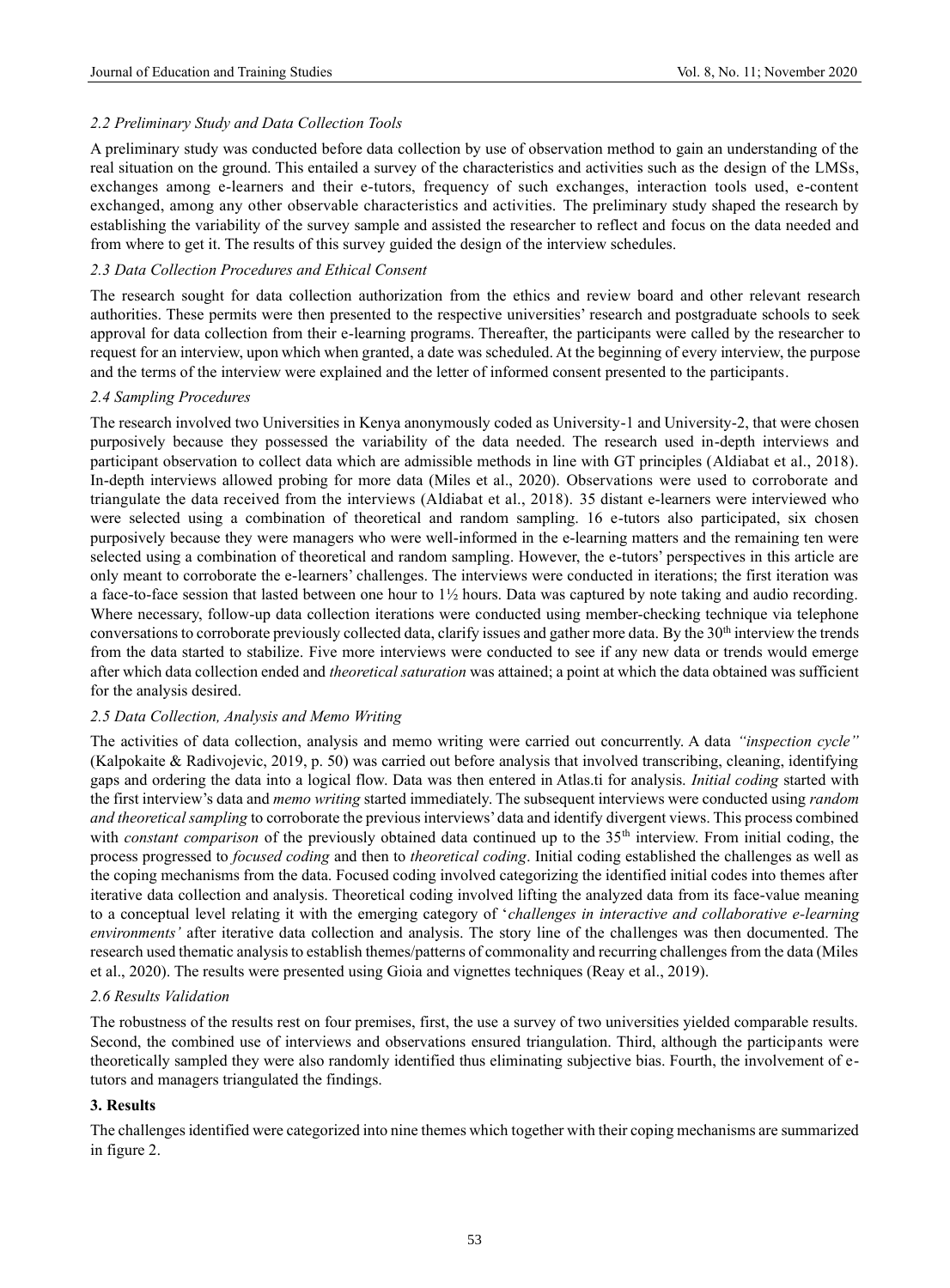## *2.2 Preliminary Study and Data Collection Tools*

A preliminary study was conducted before data collection by use of observation method to gain an understanding of the real situation on the ground. This entailed a survey of the characteristics and activities such as the design of the LMSs, exchanges among e-learners and their e-tutors, frequency of such exchanges, interaction tools used, e-content exchanged, among any other observable characteristics and activities. The preliminary study shaped the research by establishing the variability of the survey sample and assisted the researcher to reflect and focus on the data needed and from where to get it. The results of this survey guided the design of the interview schedules.

#### *2.3 Data Collection Procedures and Ethical Consent*

The research sought for data collection authorization from the ethics and review board and other relevant research authorities. These permits were then presented to the respective universities' research and postgraduate schools to seek approval for data collection from their e-learning programs. Thereafter, the participants were called by the researcher to request for an interview, upon which when granted, a date was scheduled. At the beginning of every interview, the purpose and the terms of the interview were explained and the letter of informed consent presented to the participants.

#### *2.4 Sampling Procedures*

The research involved two Universities in Kenya anonymously coded as University-1 and University-2, that were chosen purposively because they possessed the variability of the data needed. The research used in-depth interviews and participant observation to collect data which are admissible methods in line with GT principles (Aldiabat et al., 2018). In-depth interviews allowed probing for more data (Miles et al., 2020). Observations were used to corroborate and triangulate the data received from the interviews (Aldiabat et al., 2018). 35 distant e-learners were interviewed who were selected using a combination of theoretical and random sampling. 16 e-tutors also participated, six chosen purposively because they were managers who were well-informed in the e-learning matters and the remaining ten were selected using a combination of theoretical and random sampling. However, the e-tutors' perspectives in this article are only meant to corroborate the e-learners' challenges. The interviews were conducted in iterations; the first iteration was a face-to-face session that lasted between one hour to 1½ hours. Data was captured by note taking and audio recording. Where necessary, follow-up data collection iterations were conducted using member-checking technique via telephone conversations to corroborate previously collected data, clarify issues and gather more data. By the 30<sup>th</sup> interview the trends from the data started to stabilize. Five more interviews were conducted to see if any new data or trends would emerge after which data collection ended and *theoretical saturation* was attained; a point at which the data obtained was sufficient for the analysis desired.

## *2.5 Data Collection, Analysis and Memo Writing*

The activities of data collection, analysis and memo writing were carried out concurrently. A data *"inspection cycle"* (Kalpokaite & Radivojevic, 2019, p. 50) was carried out before analysis that involved transcribing, cleaning, identifying gaps and ordering the data into a logical flow. Data was then entered in Atlas.ti for analysis. *Initial coding* started with the first interview's data and *memo writing* started immediately. The subsequent interviews were conducted using *random and theoretical sampling* to corroborate the previous interviews' data and identify divergent views. This process combined with *constant comparison* of the previously obtained data continued up to the 35<sup>th</sup> interview. From initial coding, the process progressed to *focused coding* and then to *theoretical coding*. Initial coding established the challenges as well as the coping mechanisms from the data. Focused coding involved categorizing the identified initial codes into themes after iterative data collection and analysis. Theoretical coding involved lifting the analyzed data from its face-value meaning to a conceptual level relating it with the emerging category of '*challenges in interactive and collaborative e-learning environments'* after iterative data collection and analysis. The story line of the challenges was then documented. The research used thematic analysis to establish themes/patterns of commonality and recurring challenges from the data (Miles et al., 2020). The results were presented using Gioia and vignettes techniques (Reay et al., 2019).

## *2.6 Results Validation*

The robustness of the results rest on four premises, first, the use a survey of two universities yielded comparable results. Second, the combined use of interviews and observations ensured triangulation. Third, although the participants were theoretically sampled they were also randomly identified thus eliminating subjective bias. Fourth, the involvement of etutors and managers triangulated the findings.

## **3. Results**

The challenges identified were categorized into nine themes which together with their coping mechanisms are summarized in figure 2.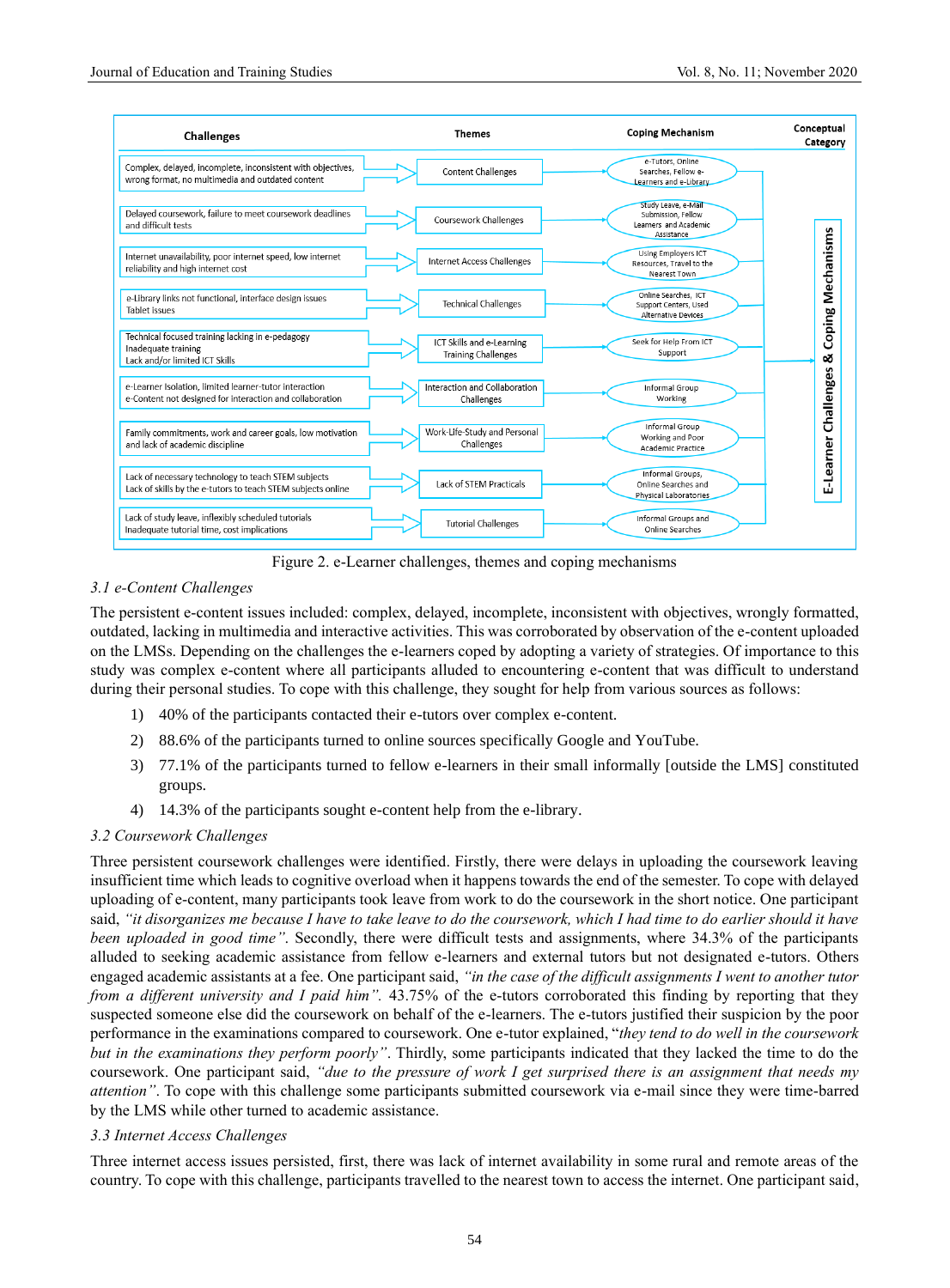

Figure 2. e-Learner challenges, themes and coping mechanisms

## *3.1 e-Content Challenges*

The persistent e-content issues included: complex, delayed, incomplete, inconsistent with objectives, wrongly formatted, outdated, lacking in multimedia and interactive activities. This was corroborated by observation of the e-content uploaded on the LMSs. Depending on the challenges the e-learners coped by adopting a variety of strategies. Of importance to this study was complex e-content where all participants alluded to encountering e-content that was difficult to understand during their personal studies. To cope with this challenge, they sought for help from various sources as follows:

- 1) 40% of the participants contacted their e-tutors over complex e-content.
- 2) 88.6% of the participants turned to online sources specifically Google and YouTube.
- 3) 77.1% of the participants turned to fellow e-learners in their small informally [outside the LMS] constituted groups.
- 4) 14.3% of the participants sought e-content help from the e-library.

# *3.2 Coursework Challenges*

Three persistent coursework challenges were identified. Firstly, there were delays in uploading the coursework leaving insufficient time which leads to cognitive overload when it happens towards the end of the semester. To cope with delayed uploading of e-content, many participants took leave from work to do the coursework in the short notice. One participant said, *"it disorganizes me because I have to take leave to do the coursework, which I had time to do earlier should it have been uploaded in good time"*. Secondly, there were difficult tests and assignments, where 34.3% of the participants alluded to seeking academic assistance from fellow e-learners and external tutors but not designated e-tutors. Others engaged academic assistants at a fee. One participant said, *"in the case of the difficult assignments I went to another tutor from a different university and I paid him".* 43.75% of the e-tutors corroborated this finding by reporting that they suspected someone else did the coursework on behalf of the e-learners. The e-tutors justified their suspicion by the poor performance in the examinations compared to coursework. One e-tutor explained, "*they tend to do well in the coursework but in the examinations they perform poorly"*. Thirdly, some participants indicated that they lacked the time to do the coursework. One participant said, *"due to the pressure of work I get surprised there is an assignment that needs my attention"*. To cope with this challenge some participants submitted coursework via e-mail since they were time-barred by the LMS while other turned to academic assistance.

## *3.3 Internet Access Challenges*

Three internet access issues persisted, first, there was lack of internet availability in some rural and remote areas of the country. To cope with this challenge, participants travelled to the nearest town to access the internet. One participant said,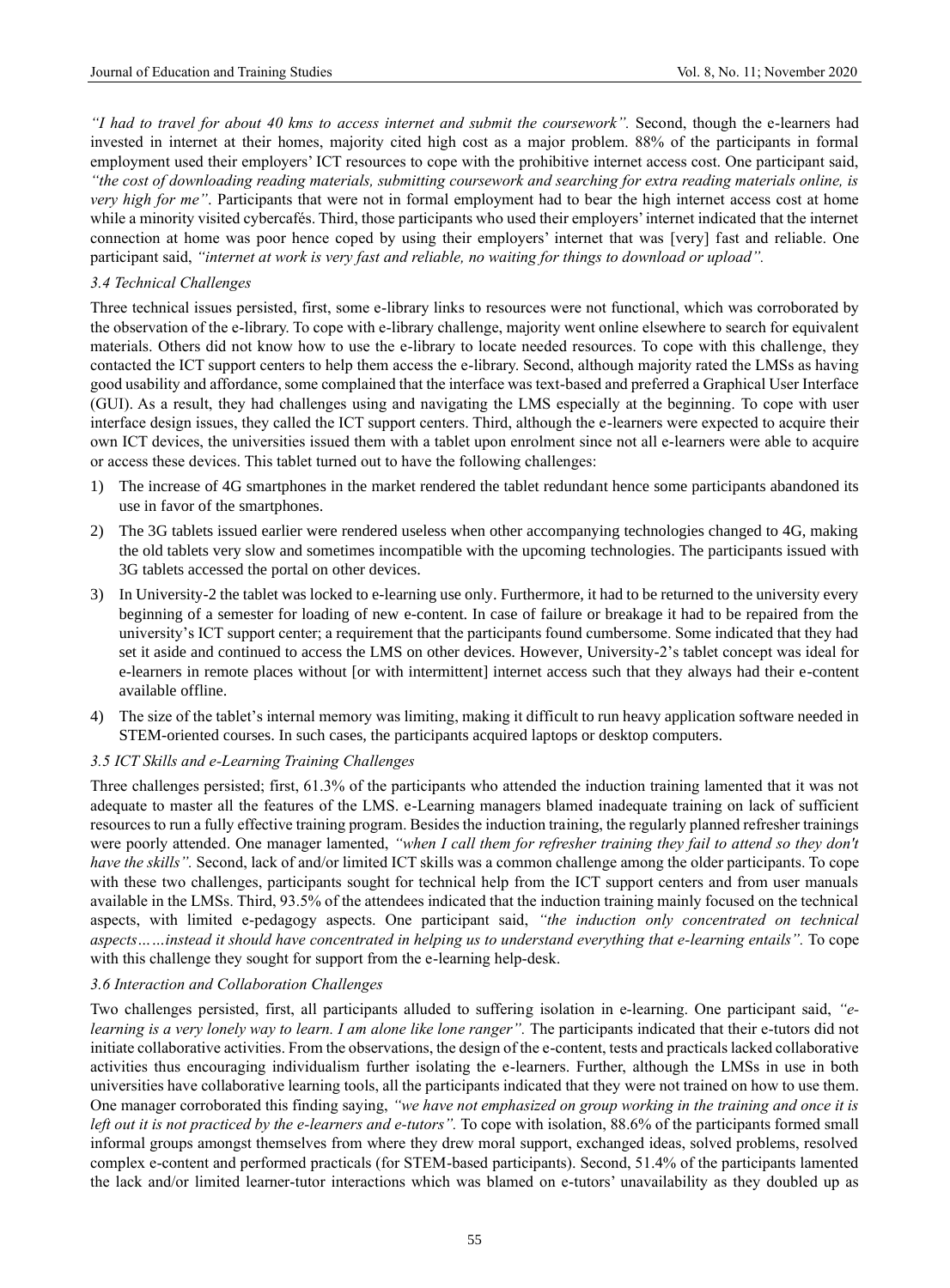*"I had to travel for about 40 kms to access internet and submit the coursework".* Second, though the e-learners had invested in internet at their homes, majority cited high cost as a major problem. 88% of the participants in formal employment used their employers' ICT resources to cope with the prohibitive internet access cost. One participant said, *"the cost of downloading reading materials, submitting coursework and searching for extra reading materials online, is very high for me"*. Participants that were not in formal employment had to bear the high internet access cost at home while a minority visited cybercafés. Third, those participants who used their employers' internet indicated that the internet connection at home was poor hence coped by using their employers' internet that was [very] fast and reliable. One participant said, *"internet at work is very fast and reliable, no waiting for things to download or upload".*

## *3.4 Technical Challenges*

Three technical issues persisted, first, some e-library links to resources were not functional, which was corroborated by the observation of the e-library. To cope with e-library challenge, majority went online elsewhere to search for equivalent materials. Others did not know how to use the e-library to locate needed resources. To cope with this challenge, they contacted the ICT support centers to help them access the e-library. Second, although majority rated the LMSs as having good usability and affordance, some complained that the interface was text-based and preferred a Graphical User Interface (GUI). As a result, they had challenges using and navigating the LMS especially at the beginning. To cope with user interface design issues, they called the ICT support centers. Third, although the e-learners were expected to acquire their own ICT devices, the universities issued them with a tablet upon enrolment since not all e-learners were able to acquire or access these devices. This tablet turned out to have the following challenges:

- 1) The increase of 4G smartphones in the market rendered the tablet redundant hence some participants abandoned its use in favor of the smartphones.
- 2) The 3G tablets issued earlier were rendered useless when other accompanying technologies changed to 4G, making the old tablets very slow and sometimes incompatible with the upcoming technologies. The participants issued with 3G tablets accessed the portal on other devices.
- 3) In University-2 the tablet was locked to e-learning use only. Furthermore, it had to be returned to the university every beginning of a semester for loading of new e-content. In case of failure or breakage it had to be repaired from the university's ICT support center; a requirement that the participants found cumbersome. Some indicated that they had set it aside and continued to access the LMS on other devices. However, University-2's tablet concept was ideal for e-learners in remote places without [or with intermittent] internet access such that they always had their e-content available offline.
- 4) The size of the tablet's internal memory was limiting, making it difficult to run heavy application software needed in STEM-oriented courses. In such cases, the participants acquired laptops or desktop computers.

## *3.5 ICT Skills and e-Learning Training Challenges*

Three challenges persisted; first, 61.3% of the participants who attended the induction training lamented that it was not adequate to master all the features of the LMS. e-Learning managers blamed inadequate training on lack of sufficient resources to run a fully effective training program. Besides the induction training, the regularly planned refresher trainings were poorly attended. One manager lamented, *"when I call them for refresher training they fail to attend so they don't have the skills"*. Second, lack of and/or limited ICT skills was a common challenge among the older participants. To cope with these two challenges, participants sought for technical help from the ICT support centers and from user manuals available in the LMSs. Third, 93.5% of the attendees indicated that the induction training mainly focused on the technical aspects, with limited e-pedagogy aspects. One participant said, *"the induction only concentrated on technical aspects……instead it should have concentrated in helping us to understand everything that e-learning entails".* To cope with this challenge they sought for support from the e-learning help-desk.

## *3.6 Interaction and Collaboration Challenges*

Two challenges persisted, first, all participants alluded to suffering isolation in e-learning. One participant said, *"elearning is a very lonely way to learn. I am alone like lone ranger"*. The participants indicated that their e-tutors did not initiate collaborative activities. From the observations, the design of the e-content, tests and practicals lacked collaborative activities thus encouraging individualism further isolating the e-learners. Further, although the LMSs in use in both universities have collaborative learning tools, all the participants indicated that they were not trained on how to use them. One manager corroborated this finding saying, *"we have not emphasized on group working in the training and once it is left out it is not practiced by the e-learners and e-tutors".* To cope with isolation, 88.6% of the participants formed small informal groups amongst themselves from where they drew moral support, exchanged ideas, solved problems, resolved complex e-content and performed practicals (for STEM-based participants). Second, 51.4% of the participants lamented the lack and/or limited learner-tutor interactions which was blamed on e-tutors' unavailability as they doubled up as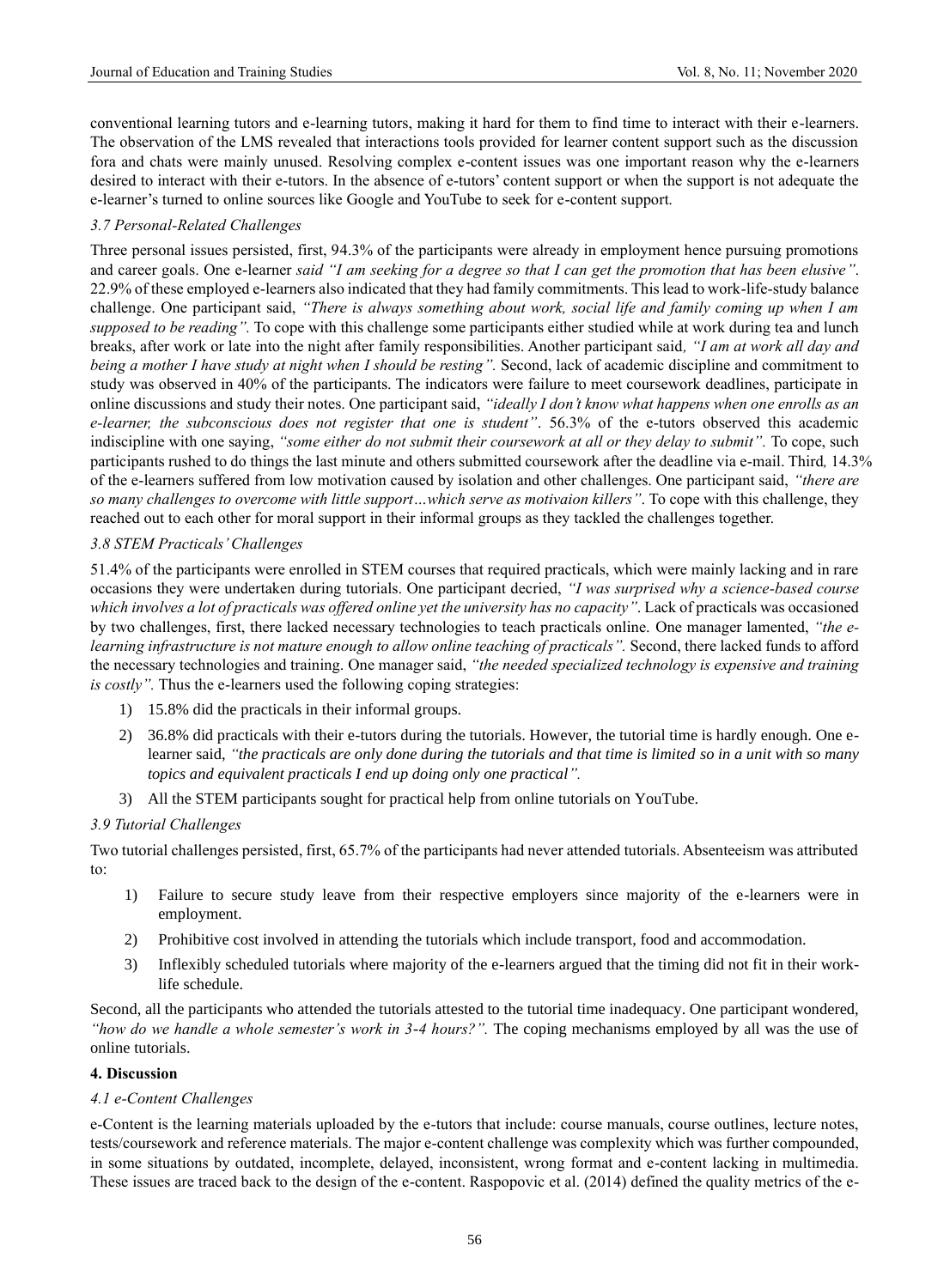conventional learning tutors and e-learning tutors, making it hard for them to find time to interact with their e-learners. The observation of the LMS revealed that interactions tools provided for learner content support such as the discussion fora and chats were mainly unused. Resolving complex e-content issues was one important reason why the e-learners desired to interact with their e-tutors. In the absence of e-tutors' content support or when the support is not adequate the e-learner's turned to online sources like Google and YouTube to seek for e-content support.

## *3.7 Personal-Related Challenges*

Three personal issues persisted, first, 94.3% of the participants were already in employment hence pursuing promotions and career goals. One e-learner *said "I am seeking for a degree so that I can get the promotion that has been elusive"*. 22.9% of these employed e-learners also indicated that they had family commitments. This lead to work-life-study balance challenge. One participant said, *"There is always something about work, social life and family coming up when I am supposed to be reading".* To cope with this challenge some participants either studied while at work during tea and lunch breaks, after work or late into the night after family responsibilities. Another participant said*, "I am at work all day and being a mother I have study at night when I should be resting"*. Second, lack of academic discipline and commitment to study was observed in 40% of the participants. The indicators were failure to meet coursework deadlines, participate in online discussions and study their notes. One participant said, *"ideally I don't know what happens when one enrolls as an e-learner, the subconscious does not register that one is student"*. 56.3% of the e-tutors observed this academic indiscipline with one saying, "some either do not submit their coursework at all or they delay to submit". To cope, such participants rushed to do things the last minute and others submitted coursework after the deadline via e-mail. Third*,* 14.3% of the e-learners suffered from low motivation caused by isolation and other challenges. One participant said, *"there are so many challenges to overcome with little support…which serve as motivaion killers"*. To cope with this challenge, they reached out to each other for moral support in their informal groups as they tackled the challenges together.

## *3.8 STEM Practicals' Challenges*

51.4% of the participants were enrolled in STEM courses that required practicals, which were mainly lacking and in rare occasions they were undertaken during tutorials. One participant decried, *"I was surprised why a science-based course which involves a lot of practicals was offered online yet the university has no capacity"*. Lack of practicals was occasioned by two challenges, first, there lacked necessary technologies to teach practicals online. One manager lamented, *"the elearning infrastructure is not mature enough to allow online teaching of practicals"*. Second, there lacked funds to afford the necessary technologies and training. One manager said, *"the needed specialized technology is expensive and training is costly"*. Thus the e-learners used the following coping strategies:

- 1) 15.8% did the practicals in their informal groups.
- 2) 36.8% did practicals with their e-tutors during the tutorials. However, the tutorial time is hardly enough. One elearner said, *"the practicals are only done during the tutorials and that time is limited so in a unit with so many topics and equivalent practicals I end up doing only one practical".*
- 3) All the STEM participants sought for practical help from online tutorials on YouTube.

## *3.9 Tutorial Challenges*

Two tutorial challenges persisted, first, 65.7% of the participants had never attended tutorials. Absenteeism was attributed to:

- 1) Failure to secure study leave from their respective employers since majority of the e-learners were in employment.
- 2) Prohibitive cost involved in attending the tutorials which include transport, food and accommodation.
- 3) Inflexibly scheduled tutorials where majority of the e-learners argued that the timing did not fit in their worklife schedule.

Second, all the participants who attended the tutorials attested to the tutorial time inadequacy. One participant wondered, *"how do we handle a whole semester's work in 3-4 hours?".* The coping mechanisms employed by all was the use of online tutorials.

## **4. Discussion**

## *4.1 e-Content Challenges*

e-Content is the learning materials uploaded by the e-tutors that include: course manuals, course outlines, lecture notes, tests/coursework and reference materials. The major e-content challenge was complexity which was further compounded, in some situations by outdated, incomplete, delayed, inconsistent, wrong format and e-content lacking in multimedia. These issues are traced back to the design of the e-content. Raspopovic et al. (2014) defined the quality metrics of the e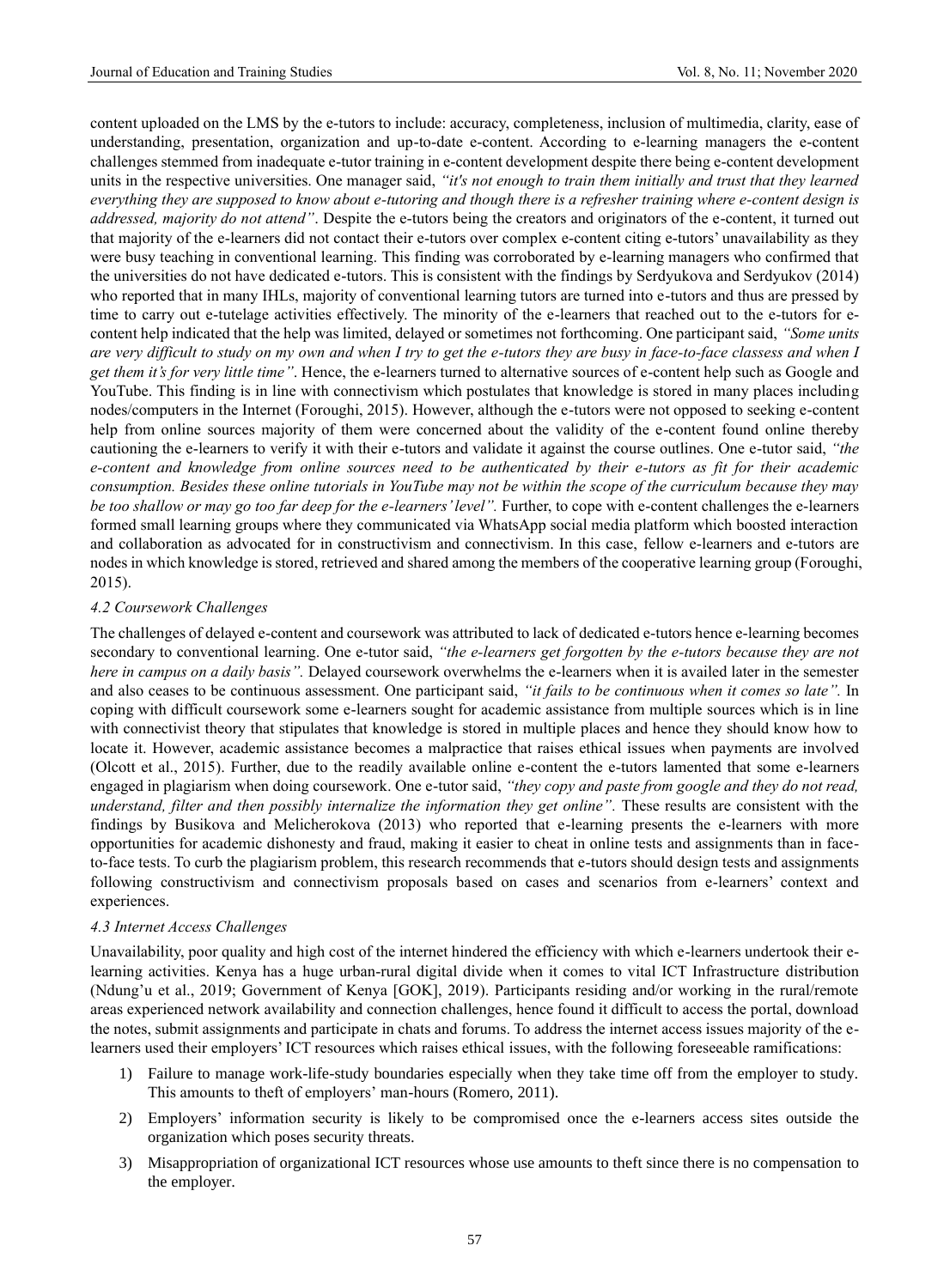content uploaded on the LMS by the e-tutors to include: accuracy, completeness, inclusion of multimedia, clarity, ease of understanding, presentation, organization and up-to-date e-content. According to e-learning managers the e-content challenges stemmed from inadequate e-tutor training in e-content development despite there being e-content development units in the respective universities. One manager said, *"it's not enough to train them initially and trust that they learned everything they are supposed to know about e-tutoring and though there is a refresher training where e-content design is addressed, majority do not attend"*. Despite the e-tutors being the creators and originators of the e-content, it turned out that majority of the e-learners did not contact their e-tutors over complex e-content citing e-tutors' unavailability as they were busy teaching in conventional learning. This finding was corroborated by e-learning managers who confirmed that the universities do not have dedicated e-tutors. This is consistent with the findings by Serdyukova and Serdyukov (2014) who reported that in many IHLs, majority of conventional learning tutors are turned into e-tutors and thus are pressed by time to carry out e-tutelage activities effectively. The minority of the e-learners that reached out to the e-tutors for econtent help indicated that the help was limited, delayed or sometimes not forthcoming. One participant said, *"Some units are very difficult to study on my own and when I try to get the e-tutors they are busy in face-to-face classess and when I get them it's for very little time"*. Hence, the e-learners turned to alternative sources of e-content help such as Google and YouTube. This finding is in line with connectivism which postulates that knowledge is stored in many places including nodes/computers in the Internet (Foroughi, 2015). However, although the e-tutors were not opposed to seeking e-content help from online sources majority of them were concerned about the validity of the e-content found online thereby cautioning the e-learners to verify it with their e-tutors and validate it against the course outlines. One e-tutor said, *"the e-content and knowledge from online sources need to be authenticated by their e-tutors as fit for their academic consumption. Besides these online tutorials in YouTube may not be within the scope of the curriculum because they may be too shallow or may go too far deep for the e-learners'level".* Further, to cope with e-content challenges the e-learners formed small learning groups where they communicated via WhatsApp social media platform which boosted interaction and collaboration as advocated for in constructivism and connectivism. In this case, fellow e-learners and e-tutors are nodes in which knowledge is stored, retrieved and shared among the members of the cooperative learning group (Foroughi, 2015).

## *4.2 Coursework Challenges*

The challenges of delayed e-content and coursework was attributed to lack of dedicated e-tutors hence e-learning becomes secondary to conventional learning. One e-tutor said, *"the e-learners get forgotten by the e-tutors because they are not here in campus on a daily basis".* Delayed coursework overwhelms the e-learners when it is availed later in the semester and also ceases to be continuous assessment. One participant said, *"it fails to be continuous when it comes so late".* In coping with difficult coursework some e-learners sought for academic assistance from multiple sources which is in line with connectivist theory that stipulates that knowledge is stored in multiple places and hence they should know how to locate it. However, academic assistance becomes a malpractice that raises ethical issues when payments are involved (Olcott et al., 2015). Further, due to the readily available online e-content the e-tutors lamented that some e-learners engaged in plagiarism when doing coursework. One e-tutor said, *"they copy and paste from google and they do not read, understand, filter and then possibly internalize the information they get online"*. These results are consistent with the findings by Busikova and Melicherokova (2013) who reported that e-learning presents the e-learners with more opportunities for academic dishonesty and fraud, making it easier to cheat in online tests and assignments than in faceto-face tests. To curb the plagiarism problem, this research recommends that e-tutors should design tests and assignments following constructivism and connectivism proposals based on cases and scenarios from e-learners' context and experiences.

#### *4.3 Internet Access Challenges*

Unavailability, poor quality and high cost of the internet hindered the efficiency with which e-learners undertook their elearning activities. Kenya has a huge urban-rural digital divide when it comes to vital ICT Infrastructure distribution (Ndung'u et al., 2019; Government of Kenya [GOK], 2019). Participants residing and/or working in the rural/remote areas experienced network availability and connection challenges, hence found it difficult to access the portal, download the notes, submit assignments and participate in chats and forums. To address the internet access issues majority of the elearners used their employers' ICT resources which raises ethical issues, with the following foreseeable ramifications:

- 1) Failure to manage work-life-study boundaries especially when they take time off from the employer to study. This amounts to theft of employers' man-hours (Romero, 2011).
- 2) Employers' information security is likely to be compromised once the e-learners access sites outside the organization which poses security threats.
- 3) Misappropriation of organizational ICT resources whose use amounts to theft since there is no compensation to the employer.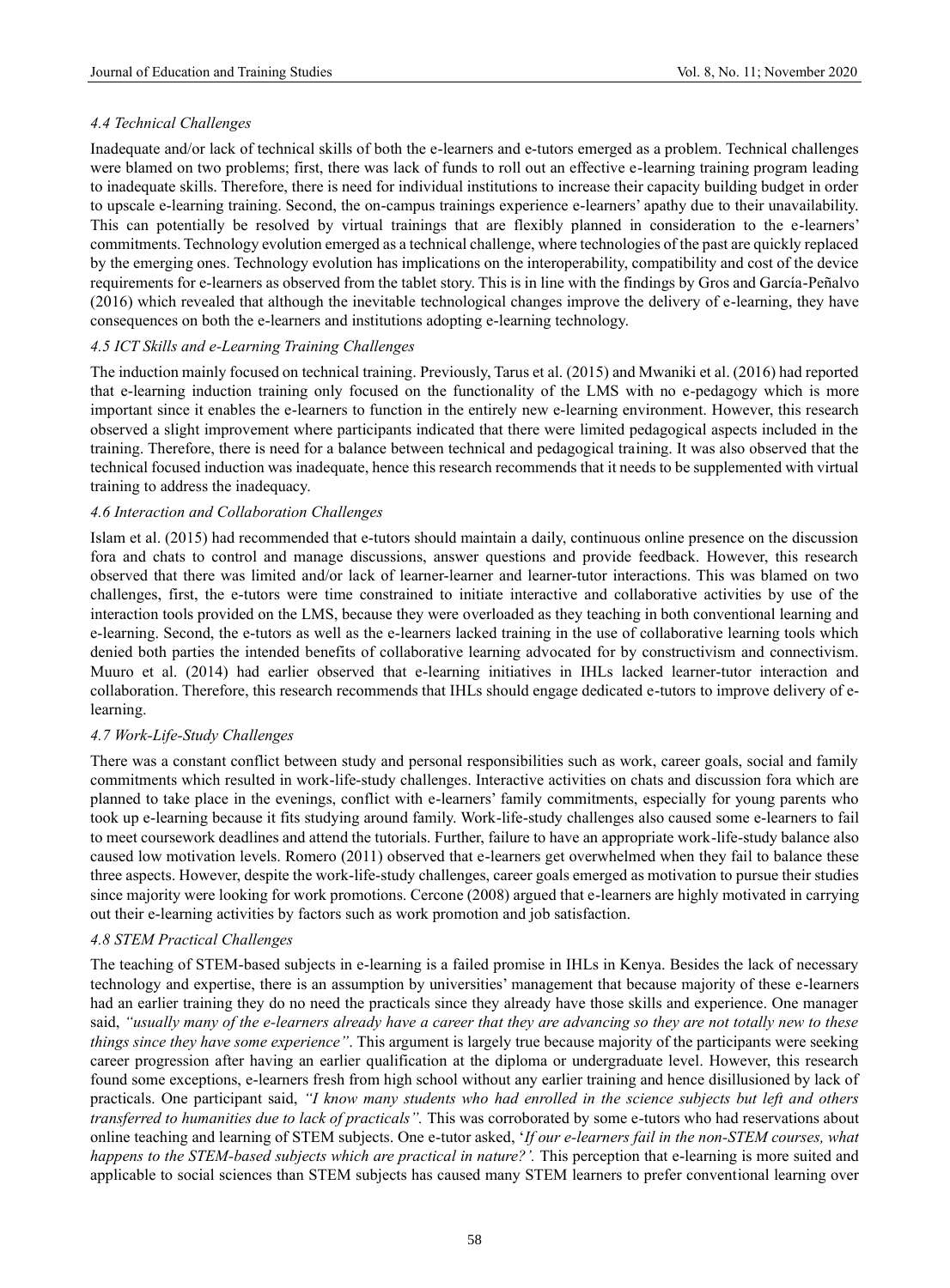# *4.4 Technical Challenges*

Inadequate and/or lack of technical skills of both the e-learners and e-tutors emerged as a problem. Technical challenges were blamed on two problems; first, there was lack of funds to roll out an effective e-learning training program leading to inadequate skills. Therefore, there is need for individual institutions to increase their capacity building budget in order to upscale e-learning training. Second, the on-campus trainings experience e-learners' apathy due to their unavailability. This can potentially be resolved by virtual trainings that are flexibly planned in consideration to the e-learners' commitments. Technology evolution emerged as a technical challenge, where technologies of the past are quickly replaced by the emerging ones. Technology evolution has implications on the interoperability, compatibility and cost of the device requirements for e-learners as observed from the tablet story. This is in line with the findings by Gros and García-Peñalvo (2016) which revealed that although the inevitable technological changes improve the delivery of e-learning, they have consequences on both the e-learners and institutions adopting e-learning technology.

## *4.5 ICT Skills and e-Learning Training Challenges*

The induction mainly focused on technical training. Previously, Tarus et al. (2015) and Mwaniki et al. (2016) had reported that e-learning induction training only focused on the functionality of the LMS with no e-pedagogy which is more important since it enables the e-learners to function in the entirely new e-learning environment. However, this research observed a slight improvement where participants indicated that there were limited pedagogical aspects included in the training. Therefore, there is need for a balance between technical and pedagogical training. It was also observed that the technical focused induction was inadequate, hence this research recommends that it needs to be supplemented with virtual training to address the inadequacy.

## *4.6 Interaction and Collaboration Challenges*

Islam et al. (2015) had recommended that e-tutors should maintain a daily, continuous online presence on the discussion fora and chats to control and manage discussions, answer questions and provide feedback. However, this research observed that there was limited and/or lack of learner-learner and learner-tutor interactions. This was blamed on two challenges, first, the e-tutors were time constrained to initiate interactive and collaborative activities by use of the interaction tools provided on the LMS, because they were overloaded as they teaching in both conventional learning and e-learning. Second, the e-tutors as well as the e-learners lacked training in the use of collaborative learning tools which denied both parties the intended benefits of collaborative learning advocated for by constructivism and connectivism. Muuro et al. (2014) had earlier observed that e-learning initiatives in IHLs lacked learner-tutor interaction and collaboration. Therefore, this research recommends that IHLs should engage dedicated e-tutors to improve delivery of elearning.

# *4.7 Work-Life-Study Challenges*

There was a constant conflict between study and personal responsibilities such as work, career goals, social and family commitments which resulted in work-life-study challenges. Interactive activities on chats and discussion fora which are planned to take place in the evenings, conflict with e-learners' family commitments, especially for young parents who took up e-learning because it fits studying around family. Work-life-study challenges also caused some e-learners to fail to meet coursework deadlines and attend the tutorials. Further, failure to have an appropriate work-life-study balance also caused low motivation levels. Romero (2011) observed that e-learners get overwhelmed when they fail to balance these three aspects. However, despite the work-life-study challenges, career goals emerged as motivation to pursue their studies since majority were looking for work promotions. Cercone (2008) argued that e-learners are highly motivated in carrying out their e-learning activities by factors such as work promotion and job satisfaction.

# *4.8 STEM Practical Challenges*

The teaching of STEM-based subjects in e-learning is a failed promise in IHLs in Kenya. Besides the lack of necessary technology and expertise, there is an assumption by universities' management that because majority of these e-learners had an earlier training they do no need the practicals since they already have those skills and experience. One manager said, *"usually many of the e-learners already have a career that they are advancing so they are not totally new to these things since they have some experience"*. This argument is largely true because majority of the participants were seeking career progression after having an earlier qualification at the diploma or undergraduate level. However, this research found some exceptions, e-learners fresh from high school without any earlier training and hence disillusioned by lack of practicals. One participant said, *"I know many students who had enrolled in the science subjects but left and others transferred to humanities due to lack of practicals".* This was corroborated by some e-tutors who had reservations about online teaching and learning of STEM subjects. One e-tutor asked, '*If our e-learners fail in the non-STEM courses, what happens to the STEM-based subjects which are practical in nature?'.* This perception that e-learning is more suited and applicable to social sciences than STEM subjects has caused many STEM learners to prefer conventional learning over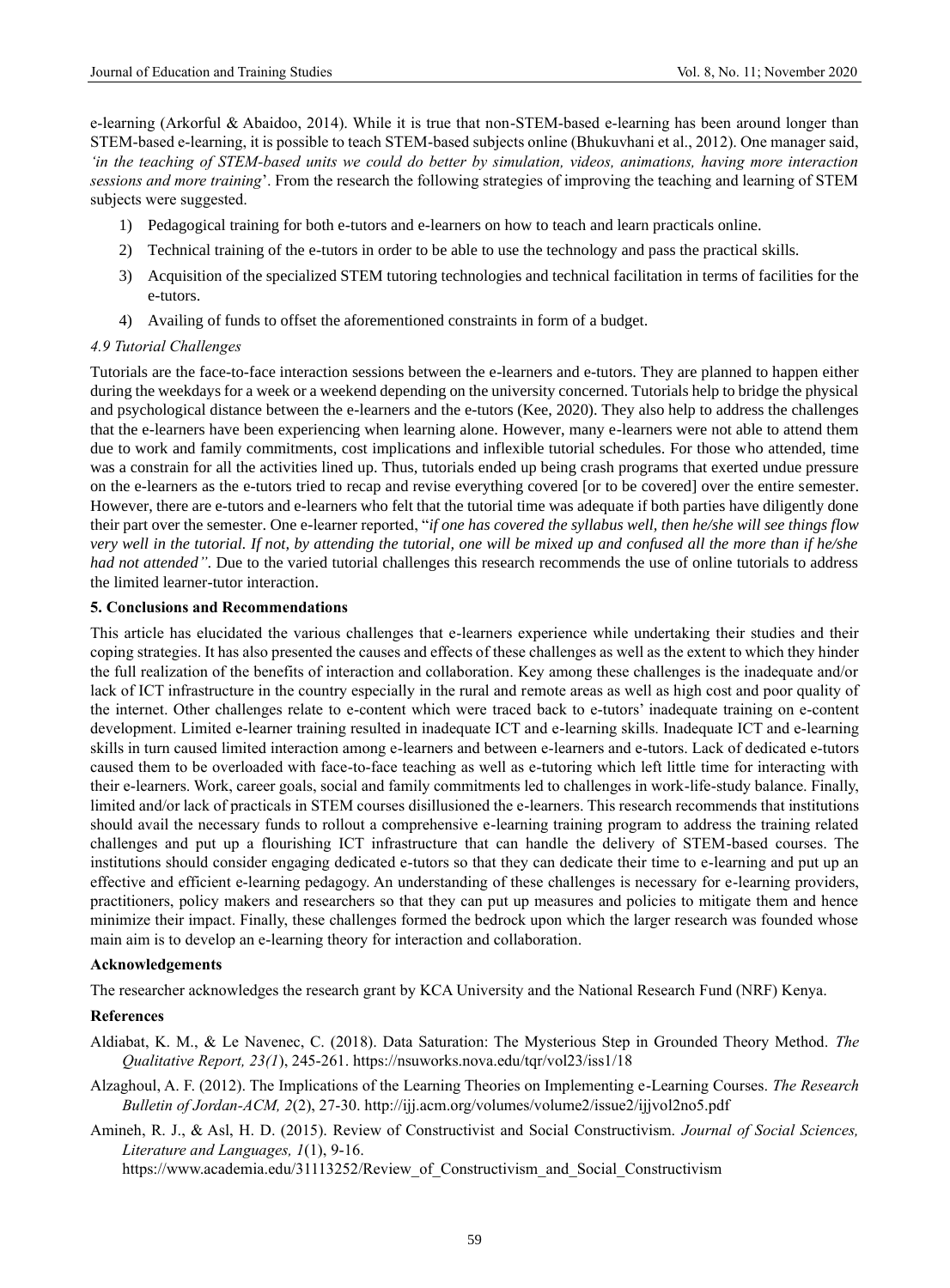e-learning (Arkorful & Abaidoo, 2014). While it is true that non-STEM-based e-learning has been around longer than STEM-based e-learning, it is possible to teach STEM-based subjects online (Bhukuvhani et al., 2012). One manager said, *'in the teaching of STEM-based units we could do better by simulation, videos, animations, having more interaction sessions and more training*'. From the research the following strategies of improving the teaching and learning of STEM subjects were suggested.

- 1) Pedagogical training for both e-tutors and e-learners on how to teach and learn practicals online.
- 2) Technical training of the e-tutors in order to be able to use the technology and pass the practical skills.
- 3) Acquisition of the specialized STEM tutoring technologies and technical facilitation in terms of facilities for the e-tutors.
- 4) Availing of funds to offset the aforementioned constraints in form of a budget.

#### *4.9 Tutorial Challenges*

Tutorials are the face-to-face interaction sessions between the e-learners and e-tutors. They are planned to happen either during the weekdays for a week or a weekend depending on the university concerned. Tutorials help to bridge the physical and psychological distance between the e-learners and the e-tutors (Kee, 2020). They also help to address the challenges that the e-learners have been experiencing when learning alone. However, many e-learners were not able to attend them due to work and family commitments, cost implications and inflexible tutorial schedules. For those who attended, time was a constrain for all the activities lined up. Thus, tutorials ended up being crash programs that exerted undue pressure on the e-learners as the e-tutors tried to recap and revise everything covered [or to be covered] over the entire semester. However, there are e-tutors and e-learners who felt that the tutorial time was adequate if both parties have diligently done their part over the semester. One e-learner reported, "*if one has covered the syllabus well, then he/she will see things flow very well in the tutorial. If not, by attending the tutorial, one will be mixed up and confused all the more than if he/she had not attended"*. Due to the varied tutorial challenges this research recommends the use of online tutorials to address the limited learner-tutor interaction.

#### **5. Conclusions and Recommendations**

This article has elucidated the various challenges that e-learners experience while undertaking their studies and their coping strategies. It has also presented the causes and effects of these challenges as well as the extent to which they hinder the full realization of the benefits of interaction and collaboration. Key among these challenges is the inadequate and/or lack of ICT infrastructure in the country especially in the rural and remote areas as well as high cost and poor quality of the internet. Other challenges relate to e-content which were traced back to e-tutors' inadequate training on e-content development. Limited e-learner training resulted in inadequate ICT and e-learning skills. Inadequate ICT and e-learning skills in turn caused limited interaction among e-learners and between e-learners and e-tutors. Lack of dedicated e-tutors caused them to be overloaded with face-to-face teaching as well as e-tutoring which left little time for interacting with their e-learners. Work, career goals, social and family commitments led to challenges in work-life-study balance. Finally, limited and/or lack of practicals in STEM courses disillusioned the e-learners. This research recommends that institutions should avail the necessary funds to rollout a comprehensive e-learning training program to address the training related challenges and put up a flourishing ICT infrastructure that can handle the delivery of STEM-based courses. The institutions should consider engaging dedicated e-tutors so that they can dedicate their time to e-learning and put up an effective and efficient e-learning pedagogy. An understanding of these challenges is necessary for e-learning providers, practitioners, policy makers and researchers so that they can put up measures and policies to mitigate them and hence minimize their impact. Finally, these challenges formed the bedrock upon which the larger research was founded whose main aim is to develop an e-learning theory for interaction and collaboration.

#### **Acknowledgements**

The researcher acknowledges the research grant by KCA University and the National Research Fund (NRF) Kenya.

#### **References**

- Aldiabat, K. M., & Le Navenec, C. (2018). Data Saturation: The Mysterious Step in Grounded Theory Method. *The Qualitative Report, 23(1*), 245-261. https://nsuworks.nova.edu/tqr/vol23/iss1/18
- Alzaghoul, A. F. (2012). The Implications of the Learning Theories on Implementing e-Learning Courses. *The Research Bulletin of Jordan-ACM, 2*(2), 27-30. http://ijj.acm.org/volumes/volume2/issue2/ijjvol2no5.pdf
- Amineh, R. J., & Asl, H. D. (2015). Review of Constructivist and Social Constructivism. *Journal of Social Sciences, Literature and Languages, 1*(1), 9-16.

https://www.academia.edu/31113252/Review\_of\_Constructivism\_and\_Social\_Constructivism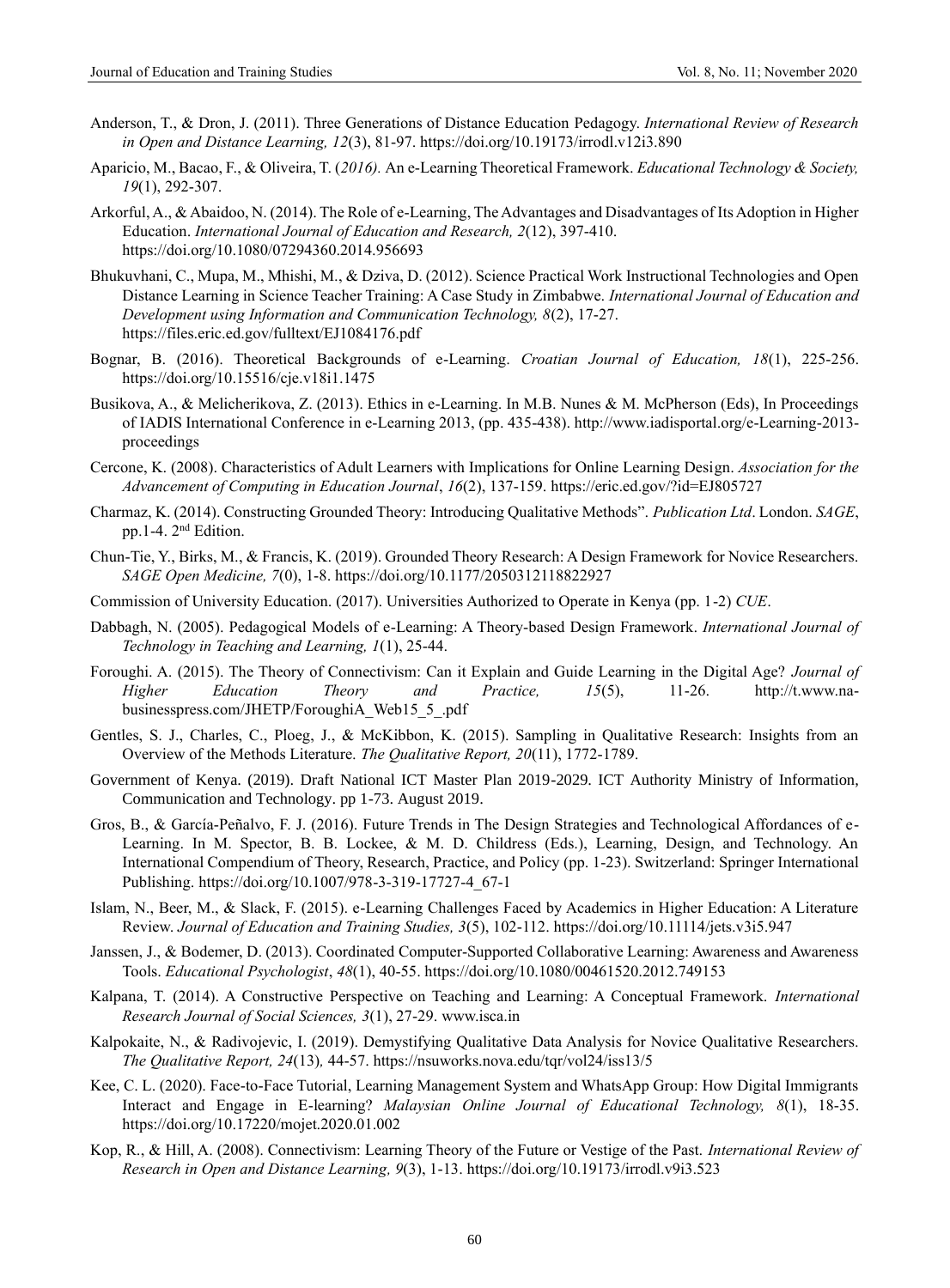- Anderson, T., & Dron, J. (2011). Three Generations of Distance Education Pedagogy. *International Review of Research in Open and Distance Learning, 12*(3), 81-97.<https://doi.org/10.19173/irrodl.v12i3.890>
- Aparicio, M., Bacao, F., & Oliveira, T. (*2016).* An e-Learning Theoretical Framework. *Educational Technology & Society, 19*(1), 292-307.
- Arkorful, A., & Abaidoo, N. (2014). The Role of e-Learning, The Advantages and Disadvantages of Its Adoption in Higher Education. *International Journal of Education and Research, 2*(12), 397-410. https://doi.org/10.1080/07294360.2014.956693
- Bhukuvhani, C., Mupa, M., Mhishi, M., & Dziva, D. (2012). Science Practical Work Instructional Technologies and Open Distance Learning in Science Teacher Training: A Case Study in Zimbabwe. *International Journal of Education and Development using Information and Communication Technology, 8*(2), 17-27. https://files.eric.ed.gov/fulltext/EJ1084176.pdf
- Bognar, B. (2016). Theoretical Backgrounds of e-Learning. *Croatian Journal of Education, 18*(1), 225-256. <https://doi.org/10.15516/cje.v18i1.1475>
- Busikova, A., & Melicherikova, Z. (2013). Ethics in e-Learning. In M.B. Nunes & M. McPherson (Eds), In Proceedings of IADIS International Conference in e-Learning 2013, (pp. 435-438). [http://www.iadisportal.org/e-Learning-2013](http://www.iadisportal.org/e-learning-2013-proceedings) [proceedings](http://www.iadisportal.org/e-learning-2013-proceedings)
- Cercone, K. (2008). Characteristics of Adult Learners with Implications for Online Learning Design. *Association for the Advancement of Computing in Education Journal*, *16*(2), 137-159.<https://eric.ed.gov/?id=EJ805727>
- Charmaz, K. (2014). Constructing Grounded Theory: Introducing Qualitative Methods". *Publication Ltd*. London. *SAGE*, pp.1-4. 2nd Edition.
- Chun-Tie, Y., Birks, M., & Francis, K. (2019). Grounded Theory Research: A Design Framework for Novice Researchers. *SAGE Open Medicine, 7*(0), 1-8.<https://doi.org/10.1177/2050312118822927>
- Commission of University Education. (2017). Universities Authorized to Operate in Kenya (pp. 1-2) *CUE*.
- Dabbagh, N. (2005). Pedagogical Models of e-Learning: A Theory-based Design Framework. *International Journal of Technology in Teaching and Learning, 1*(1), 25-44.
- Foroughi. A. (2015). The Theory of Connectivism: Can it Explain and Guide Learning in the Digital Age? *Journal of Higher Education Theory and Practice, 15*(5), 11-26. http://t.www.nabusinesspress.com/JHETP/ForoughiA\_Web15\_5\_.pdf
- Gentles, S. J., Charles, C., Ploeg, J., & McKibbon, K. (2015). Sampling in Qualitative Research: Insights from an Overview of the Methods Literature. *The Qualitative Report, 20*(11), 1772-1789.
- Government of Kenya. (2019). Draft National ICT Master Plan 2019-2029. ICT Authority Ministry of Information, Communication and Technology. pp 1-73. August 2019.
- Gros, B., & García-Peñalvo, F. J. (2016). Future Trends in The Design Strategies and Technological Affordances of e-Learning. In M. Spector, B. B. Lockee, & M. D. Childress (Eds.), Learning, Design, and Technology. An International Compendium of Theory, Research, Practice, and Policy (pp. 1-23). Switzerland: Springer International Publishing. [https://doi.org/10.1007/978-3-319-17727-4\\_67-1](https://doi.org/10.1007/978-3-319-17727-4_67-1)
- Islam, N., Beer, M., & Slack, F. (2015). e-Learning Challenges Faced by Academics in Higher Education: A Literature Review. *Journal of Education and Training Studies, 3*(5), 102-112.<https://doi.org/10.11114/jets.v3i5.947>
- Janssen, J., & Bodemer, D. (2013). Coordinated Computer-Supported Collaborative Learning: Awareness and Awareness Tools. *Educational Psychologist*, *48*(1), 40-55.<https://doi.org/10.1080/00461520.2012.749153>
- Kalpana, T. (2014). A Constructive Perspective on Teaching and Learning: A Conceptual Framework. *International Research Journal of Social Sciences, 3*(1), 27-29. [www.isca.in](http://www.isca.in/)
- Kalpokaite, N., & Radivojevic, I. (2019). Demystifying Qualitative Data Analysis for Novice Qualitative Researchers. *The Qualitative Report, 24*(13)*,* 44-57.<https://nsuworks.nova.edu/tqr/vol24/iss13/5>
- Kee, C. L. (2020). Face-to-Face Tutorial, Learning Management System and WhatsApp Group: How Digital Immigrants Interact and Engage in E-learning? *Malaysian Online Journal of Educational Technology, 8*(1), 18-35. <https://doi.org/10.17220/mojet.2020.01.002>
- Kop, R., & Hill, A. (2008). Connectivism: Learning Theory of the Future or Vestige of the Past. *International Review of Research in Open and Distance Learning, 9*(3), 1-13[. https://doi.org/10.19173/irrodl.v9i3.523](https://doi.org/10.19173/irrodl.v9i3.523)